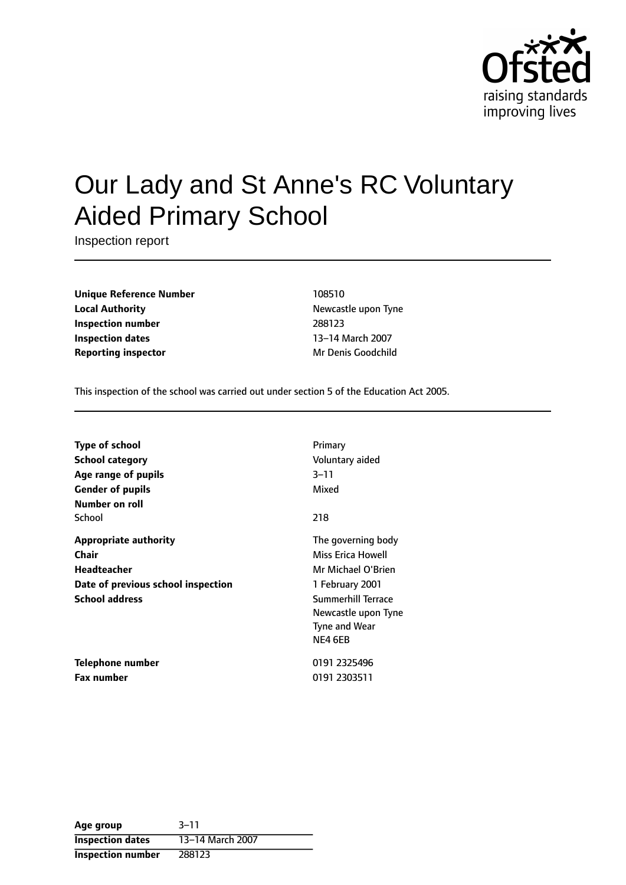

# Our Lady and St Anne's RC Voluntary Aided Primary School

Inspection report

**Unique Reference Number** 108510 **Local Authority Newcastle upon Tyne Inspection number** 288123 **Inspection dates** 13-14 March 2007 **Reporting inspector** Mr Denis Goodchild

This inspection of the school was carried out under section 5 of the Education Act 2005.

| <b>Type of school</b>              | Primary                   |
|------------------------------------|---------------------------|
| <b>School category</b>             | Voluntary aided           |
| Age range of pupils                | 3–11                      |
| <b>Gender of pupils</b>            | Mixed                     |
| Number on roll                     |                           |
| School                             | 218                       |
| <b>Appropriate authority</b>       | The governing body        |
| <b>Chair</b>                       | Miss Erica Howell         |
| <b>Headteacher</b>                 | Mr Michael O'Brien        |
| Date of previous school inspection | 1 February 2001           |
| <b>School address</b>              | <b>Summerhill Terrace</b> |
|                                    | Newcastle upon Tyne       |
|                                    | Tyne and Wear             |
|                                    | NE4 6EB                   |
| Telephone number                   | 0191 2325496              |
| <b>Fax number</b>                  | 0191 2303511              |

| Age group                | $3 - 11$         |
|--------------------------|------------------|
| <b>Inspection dates</b>  | 13-14 March 2007 |
| <b>Inspection number</b> | 288123           |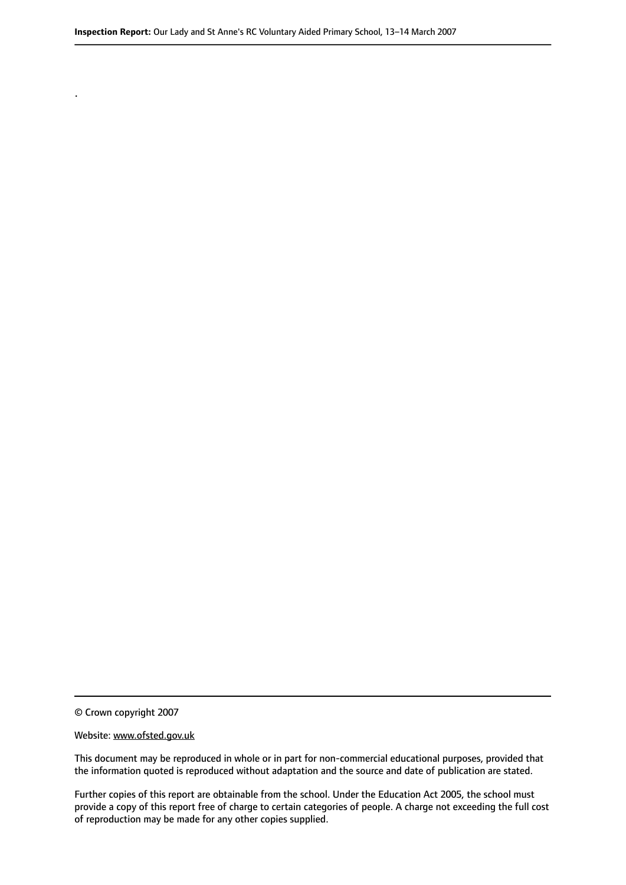© Crown copyright 2007

.

#### Website: www.ofsted.gov.uk

This document may be reproduced in whole or in part for non-commercial educational purposes, provided that the information quoted is reproduced without adaptation and the source and date of publication are stated.

Further copies of this report are obtainable from the school. Under the Education Act 2005, the school must provide a copy of this report free of charge to certain categories of people. A charge not exceeding the full cost of reproduction may be made for any other copies supplied.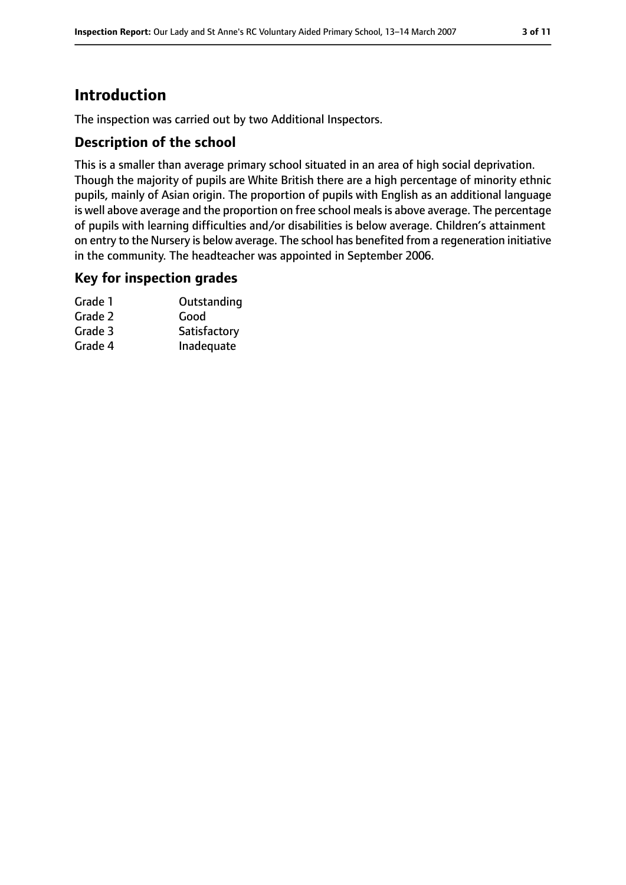# **Introduction**

The inspection was carried out by two Additional Inspectors.

#### **Description of the school**

This is a smaller than average primary school situated in an area of high social deprivation. Though the majority of pupils are White British there are a high percentage of minority ethnic pupils, mainly of Asian origin. The proportion of pupils with English as an additional language is well above average and the proportion on free school meals is above average. The percentage of pupils with learning difficulties and/or disabilities is below average. Children's attainment on entry to the Nursery is below average. The school has benefited from a regeneration initiative in the community. The headteacher was appointed in September 2006.

#### **Key for inspection grades**

| Outstanding  |
|--------------|
| Good         |
| Satisfactory |
| Inadequate   |
|              |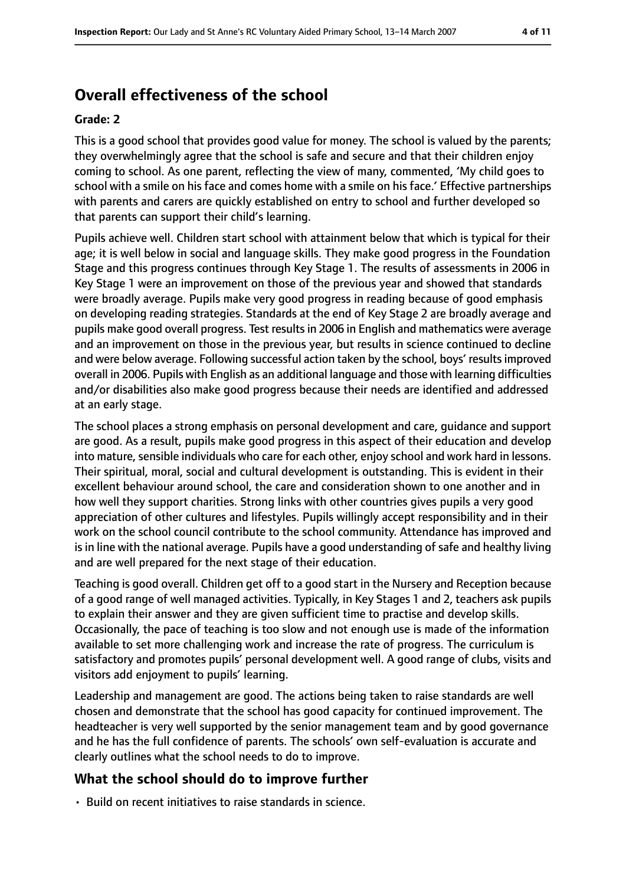# **Overall effectiveness of the school**

#### **Grade: 2**

This is a good school that provides good value for money. The school is valued by the parents; they overwhelmingly agree that the school is safe and secure and that their children enjoy coming to school. As one parent, reflecting the view of many, commented, 'My child goes to school with a smile on his face and comes home with a smile on his face.' Effective partnerships with parents and carers are quickly established on entry to school and further developed so that parents can support their child's learning.

Pupils achieve well. Children start school with attainment below that which is typical for their age; it is well below in social and language skills. They make good progress in the Foundation Stage and this progress continues through Key Stage 1. The results of assessments in 2006 in Key Stage 1 were an improvement on those of the previous year and showed that standards were broadly average. Pupils make very good progress in reading because of good emphasis on developing reading strategies. Standards at the end of Key Stage 2 are broadly average and pupils make good overall progress. Test resultsin 2006 in English and mathematics were average and an improvement on those in the previous year, but results in science continued to decline and were below average. Following successful action taken by the school, boys' results improved overall in 2006. Pupils with English as an additional language and those with learning difficulties and/or disabilities also make good progress because their needs are identified and addressed at an early stage.

The school places a strong emphasis on personal development and care, guidance and support are good. As a result, pupils make good progress in this aspect of their education and develop into mature, sensible individuals who care for each other, enjoy school and work hard in lessons. Their spiritual, moral, social and cultural development is outstanding. This is evident in their excellent behaviour around school, the care and consideration shown to one another and in how well they support charities. Strong links with other countries gives pupils a very good appreciation of other cultures and lifestyles. Pupils willingly accept responsibility and in their work on the school council contribute to the school community. Attendance has improved and is in line with the national average. Pupils have a good understanding of safe and healthy living and are well prepared for the next stage of their education.

Teaching is good overall. Children get off to a good start in the Nursery and Reception because of a good range of well managed activities. Typically, in Key Stages 1 and 2, teachers ask pupils to explain their answer and they are given sufficient time to practise and develop skills. Occasionally, the pace of teaching is too slow and not enough use is made of the information available to set more challenging work and increase the rate of progress. The curriculum is satisfactory and promotes pupils' personal development well. A good range of clubs, visits and visitors add enjoyment to pupils' learning.

Leadership and management are good. The actions being taken to raise standards are well chosen and demonstrate that the school has good capacity for continued improvement. The headteacher is very well supported by the senior management team and by good governance and he has the full confidence of parents. The schools' own self-evaluation is accurate and clearly outlines what the school needs to do to improve.

#### **What the school should do to improve further**

• Build on recent initiatives to raise standards in science.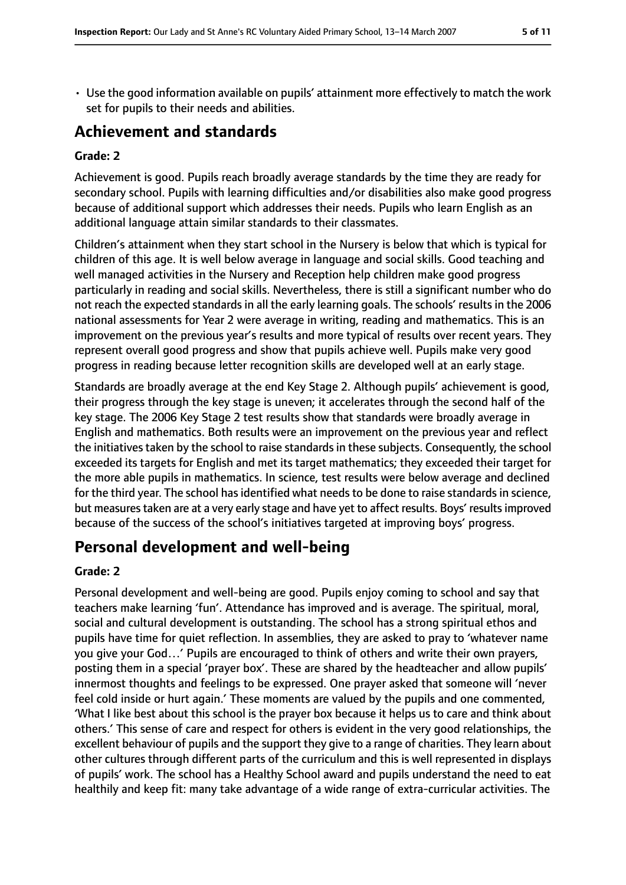- 
- Use the good information available on pupils' attainment more effectively to match the work set for pupils to their needs and abilities.

## **Achievement and standards**

#### **Grade: 2**

Achievement is good. Pupils reach broadly average standards by the time they are ready for secondary school. Pupils with learning difficulties and/or disabilities also make good progress because of additional support which addresses their needs. Pupils who learn English as an additional language attain similar standards to their classmates.

Children's attainment when they start school in the Nursery is below that which is typical for children of this age. It is well below average in language and social skills. Good teaching and well managed activities in the Nursery and Reception help children make good progress particularly in reading and social skills. Nevertheless, there is still a significant number who do not reach the expected standards in all the early learning goals. The schools' results in the 2006 national assessments for Year 2 were average in writing, reading and mathematics. This is an improvement on the previous year's results and more typical of results over recent years. They represent overall good progress and show that pupils achieve well. Pupils make very good progress in reading because letter recognition skills are developed well at an early stage.

Standards are broadly average at the end Key Stage 2. Although pupils' achievement is good, their progress through the key stage is uneven; it accelerates through the second half of the key stage. The 2006 Key Stage 2 test results show that standards were broadly average in English and mathematics. Both results were an improvement on the previous year and reflect the initiatives taken by the school to raise standards in these subjects. Consequently, the school exceeded its targets for English and met its target mathematics; they exceeded their target for the more able pupils in mathematics. In science, test results were below average and declined for the third year. The school has identified what needs to be done to raise standards in science, but measures taken are at a very early stage and have yet to affect results. Boys' results improved because of the success of the school's initiatives targeted at improving boys' progress.

## **Personal development and well-being**

#### **Grade: 2**

Personal development and well-being are good. Pupils enjoy coming to school and say that teachers make learning 'fun'. Attendance has improved and is average. The spiritual, moral, social and cultural development is outstanding. The school has a strong spiritual ethos and pupils have time for quiet reflection. In assemblies, they are asked to pray to 'whatever name you give your God…' Pupils are encouraged to think of others and write their own prayers, posting them in a special 'prayer box'. These are shared by the headteacher and allow pupils' innermost thoughts and feelings to be expressed. One prayer asked that someone will 'never feel cold inside or hurt again.' These moments are valued by the pupils and one commented, 'What I like best about this school is the prayer box because it helps us to care and think about others.' This sense of care and respect for others is evident in the very good relationships, the excellent behaviour of pupils and the support they give to a range of charities. They learn about other cultures through different parts of the curriculum and this is well represented in displays of pupils' work. The school has a Healthy School award and pupils understand the need to eat healthily and keep fit: many take advantage of a wide range of extra-curricular activities. The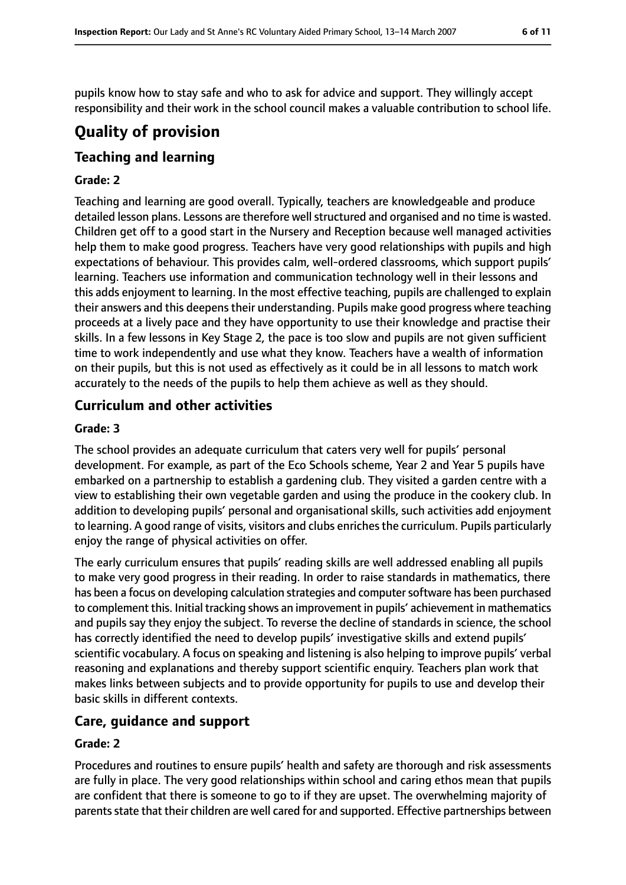pupils know how to stay safe and who to ask for advice and support. They willingly accept responsibility and their work in the school council makes a valuable contribution to school life.

# **Quality of provision**

## **Teaching and learning**

#### **Grade: 2**

Teaching and learning are good overall. Typically, teachers are knowledgeable and produce detailed lesson plans. Lessons are therefore well structured and organised and no time is wasted. Children get off to a good start in the Nursery and Reception because well managed activities help them to make good progress. Teachers have very good relationships with pupils and high expectations of behaviour. This provides calm, well-ordered classrooms, which support pupils' learning. Teachers use information and communication technology well in their lessons and this adds enjoyment to learning. In the most effective teaching, pupils are challenged to explain their answers and this deepens their understanding. Pupils make good progress where teaching proceeds at a lively pace and they have opportunity to use their knowledge and practise their skills. In a few lessons in Key Stage 2, the pace is too slow and pupils are not given sufficient time to work independently and use what they know. Teachers have a wealth of information on their pupils, but this is not used as effectively as it could be in all lessons to match work accurately to the needs of the pupils to help them achieve as well as they should.

#### **Curriculum and other activities**

#### **Grade: 3**

The school provides an adequate curriculum that caters very well for pupils' personal development. For example, as part of the Eco Schools scheme, Year 2 and Year 5 pupils have embarked on a partnership to establish a gardening club. They visited a garden centre with a view to establishing their own vegetable garden and using the produce in the cookery club. In addition to developing pupils' personal and organisational skills, such activities add enjoyment to learning. A good range of visits, visitors and clubs enriches the curriculum. Pupils particularly enjoy the range of physical activities on offer.

The early curriculum ensures that pupils' reading skills are well addressed enabling all pupils to make very good progress in their reading. In order to raise standards in mathematics, there has been a focus on developing calculation strategies and computersoftware has been purchased to complement this. Initial tracking shows an improvement in pupils' achievement in mathematics and pupils say they enjoy the subject. To reverse the decline of standards in science, the school has correctly identified the need to develop pupils' investigative skills and extend pupils' scientific vocabulary. A focus on speaking and listening is also helping to improve pupils' verbal reasoning and explanations and thereby support scientific enquiry. Teachers plan work that makes links between subjects and to provide opportunity for pupils to use and develop their basic skills in different contexts.

#### **Care, guidance and support**

#### **Grade: 2**

Procedures and routines to ensure pupils' health and safety are thorough and risk assessments are fully in place. The very good relationships within school and caring ethos mean that pupils are confident that there is someone to go to if they are upset. The overwhelming majority of parents state that their children are well cared for and supported. Effective partnerships between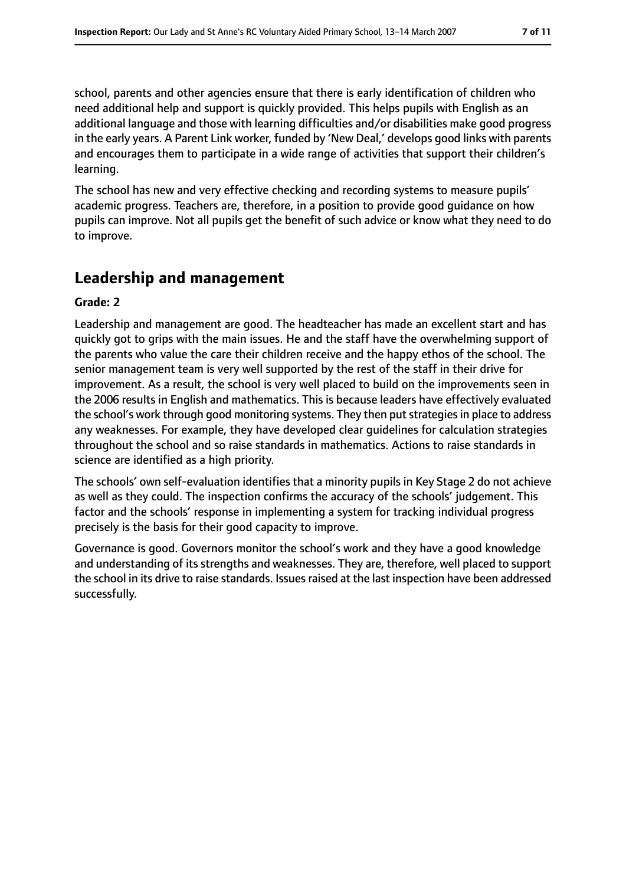The school has new and very effective checking and recording systems to measure pupils' academic progress. Teachers are, therefore, in a position to provide good guidance on how pupils can improve. Not all pupils get the benefit of such advice or know what they need to do to improve.

## **Leadership and management**

#### **Grade: 2**

Leadership and management are good. The headteacher has made an excellent start and has quickly got to grips with the main issues. He and the staff have the overwhelming support of the parents who value the care their children receive and the happy ethos of the school. The senior management team is very well supported by the rest of the staff in their drive for improvement. As a result, the school is very well placed to build on the improvements seen in the 2006 results in English and mathematics. This is because leaders have effectively evaluated the school's work through good monitoring systems. They then putstrategiesin place to address any weaknesses. For example, they have developed clear guidelines for calculation strategies throughout the school and so raise standards in mathematics. Actions to raise standards in science are identified as a high priority.

The schools' own self-evaluation identifies that a minority pupils in Key Stage 2 do not achieve as well as they could. The inspection confirms the accuracy of the schools' judgement. This factor and the schools' response in implementing a system for tracking individual progress precisely is the basis for their good capacity to improve.

Governance is good. Governors monitor the school's work and they have a good knowledge and understanding of its strengths and weaknesses. They are, therefore, well placed to support the school in its drive to raise standards. Issues raised at the last inspection have been addressed successfully.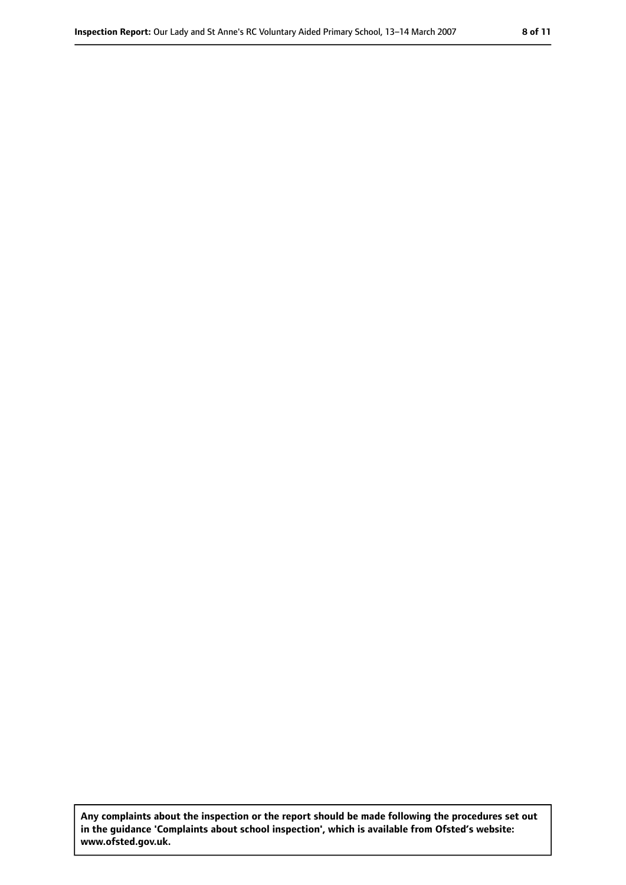**Any complaints about the inspection or the report should be made following the procedures set out in the guidance 'Complaints about school inspection', which is available from Ofsted's website: www.ofsted.gov.uk.**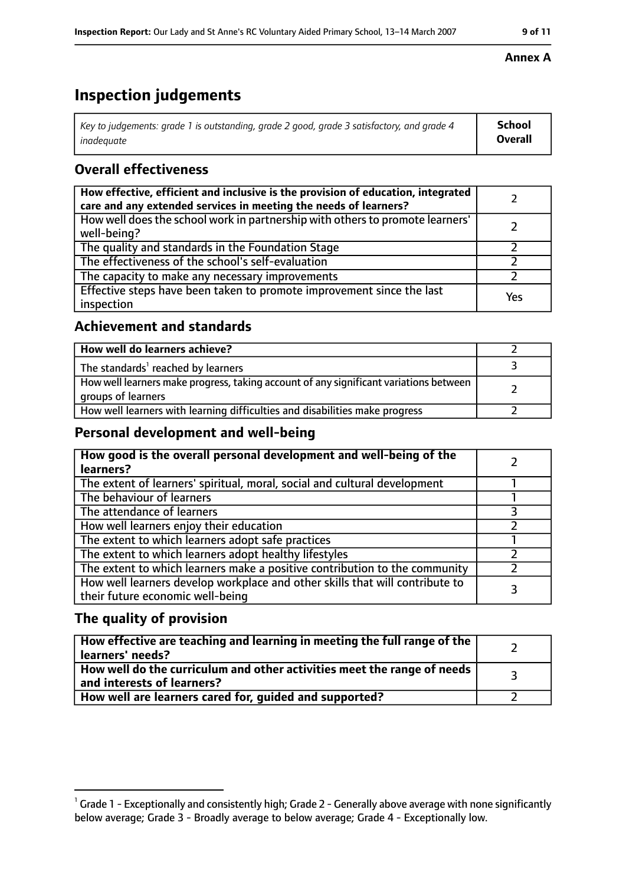# **Inspection judgements**

| $^\dagger$ Key to judgements: grade 1 is outstanding, grade 2 good, grade 3 satisfactory, and grade 4 | <b>School</b>  |
|-------------------------------------------------------------------------------------------------------|----------------|
| inadeauate                                                                                            | <b>Overall</b> |

#### **Overall effectiveness**

| How effective, efficient and inclusive is the provision of education, integrated<br>care and any extended services in meeting the needs of learners? |     |
|------------------------------------------------------------------------------------------------------------------------------------------------------|-----|
| How well does the school work in partnership with others to promote learners'<br>well-being?                                                         |     |
| The quality and standards in the Foundation Stage                                                                                                    |     |
| The effectiveness of the school's self-evaluation                                                                                                    |     |
| The capacity to make any necessary improvements                                                                                                      |     |
| Effective steps have been taken to promote improvement since the last<br>inspection                                                                  | Yes |

#### **Achievement and standards**

| How well do learners achieve?                                                                               |  |
|-------------------------------------------------------------------------------------------------------------|--|
| The standards <sup>1</sup> reached by learners                                                              |  |
| How well learners make progress, taking account of any significant variations between<br>groups of learners |  |
| How well learners with learning difficulties and disabilities make progress                                 |  |

#### **Personal development and well-being**

| How good is the overall personal development and well-being of the<br>learners?                                  |  |
|------------------------------------------------------------------------------------------------------------------|--|
| The extent of learners' spiritual, moral, social and cultural development                                        |  |
| The behaviour of learners                                                                                        |  |
| The attendance of learners                                                                                       |  |
| How well learners enjoy their education                                                                          |  |
| The extent to which learners adopt safe practices                                                                |  |
| The extent to which learners adopt healthy lifestyles                                                            |  |
| The extent to which learners make a positive contribution to the community                                       |  |
| How well learners develop workplace and other skills that will contribute to<br>their future economic well-being |  |

#### **The quality of provision**

| How effective are teaching and learning in meeting the full range of the<br>learners' needs?          |  |
|-------------------------------------------------------------------------------------------------------|--|
| How well do the curriculum and other activities meet the range of needs<br>and interests of learners? |  |
| How well are learners cared for, guided and supported?                                                |  |

#### **Annex A**

 $^1$  Grade 1 - Exceptionally and consistently high; Grade 2 - Generally above average with none significantly below average; Grade 3 - Broadly average to below average; Grade 4 - Exceptionally low.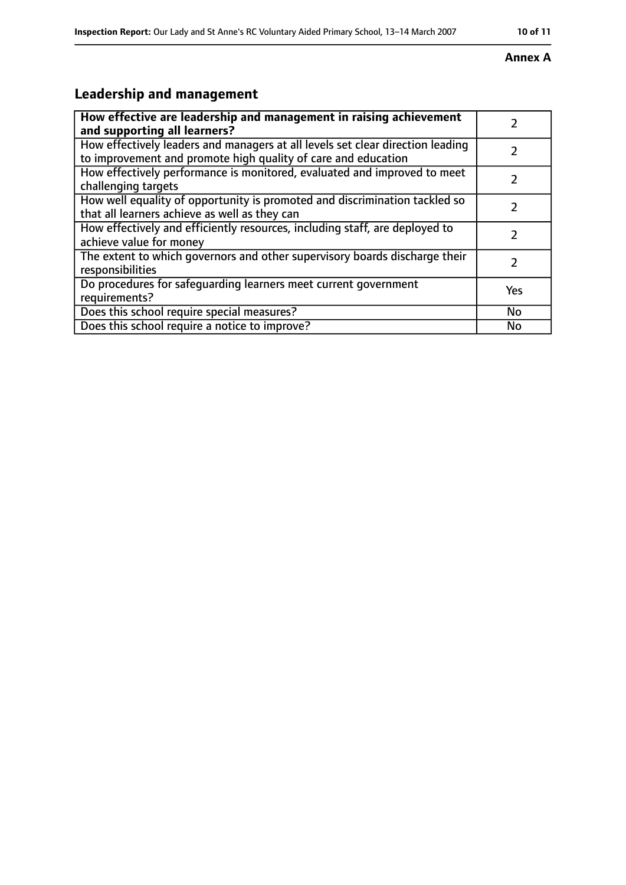#### **Inspection Report:** Our Lady and St Anne's RC Voluntary Aided Primary School, 13-14 March 2007 **10 11**

#### **Annex A**

# **Leadership and management**

| How effective are leadership and management in raising achievement<br>and supporting all learners?                                              |           |
|-------------------------------------------------------------------------------------------------------------------------------------------------|-----------|
| How effectively leaders and managers at all levels set clear direction leading<br>to improvement and promote high quality of care and education |           |
| How effectively performance is monitored, evaluated and improved to meet<br>challenging targets                                                 |           |
| How well equality of opportunity is promoted and discrimination tackled so<br>that all learners achieve as well as they can                     |           |
| How effectively and efficiently resources, including staff, are deployed to<br>achieve value for money                                          |           |
| The extent to which governors and other supervisory boards discharge their<br>responsibilities                                                  | 7         |
| Do procedures for safequarding learners meet current government<br>requirements?                                                                | Yes       |
| Does this school require special measures?                                                                                                      | <b>No</b> |
| Does this school require a notice to improve?                                                                                                   | No        |